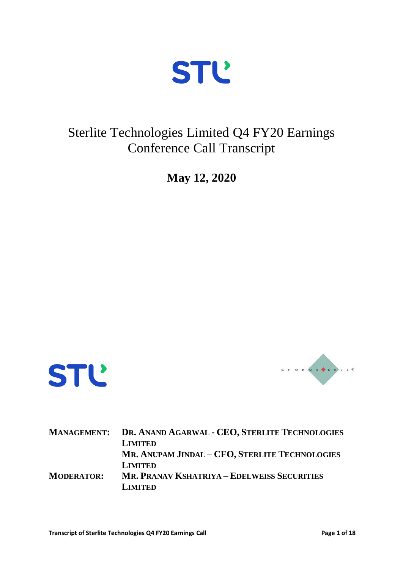

## Sterlite Technologies Limited Q4 FY20 Earnings Conference Call Transcript

**May 12, 2020**





|                   | MANAGEMENT: DR. ANAND AGARWAL - CEO, STERLITE TECHNOLOGIES<br><b>LIMITED</b> |
|-------------------|------------------------------------------------------------------------------|
|                   | MR. ANUPAM JINDAL - CFO, STERLITE TECHNOLOGIES<br><b>LIMITED</b>             |
| <b>MODERATOR:</b> | <b>MR. PRANAV KSHATRIYA – EDELWEISS SECURITIES</b><br><b>LIMITED</b>         |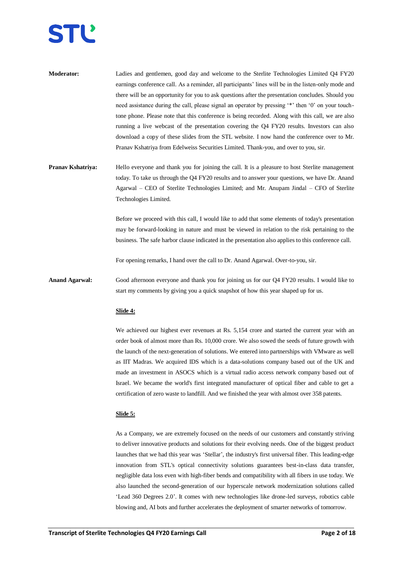

| <b>Moderator:</b> | Ladies and gentlemen, good day and welcome to the Sterlite Technologies Limited Q4 FY20              |
|-------------------|------------------------------------------------------------------------------------------------------|
|                   | earnings conference call. As a reminder, all participants' lines will be in the listen-only mode and |
|                   | there will be an opportunity for you to ask questions after the presentation concludes. Should you   |
|                   | need assistance during the call, please signal an operator by pressing '*' then '0' on your touch-   |
|                   | tone phone. Please note that this conference is being recorded. Along with this call, we are also    |
|                   | running a live webcast of the presentation covering the Q4 FY20 results. Investors can also          |
|                   | download a copy of these slides from the STL website. I now hand the conference over to Mr.          |
|                   | Pranav Kshatriya from Edelweiss Securities Limited. Thank-you, and over to you, sir.                 |

**Pranav Kshatriya:** Hello everyone and thank you for joining the call. It is a pleasure to host Sterlite management today. To take us through the Q4 FY20 results and to answer your questions, we have Dr. Anand Agarwal – CEO of Sterlite Technologies Limited; and Mr. Anupam Jindal – CFO of Sterlite Technologies Limited.

> Before we proceed with this call, I would like to add that some elements of today's presentation may be forward-looking in nature and must be viewed in relation to the risk pertaining to the business. The safe harbor clause indicated in the presentation also applies to this conference call.

For opening remarks, I hand over the call to Dr. Anand Agarwal. Over-to-you, sir.

**Anand Agarwal:** Good afternoon everyone and thank you for joining us for our Q4 FY20 results. I would like to start my comments by giving you a quick snapshot of how this year shaped up for us.

### **Slide 4:**

We achieved our highest ever revenues at Rs. 5,154 crore and started the current year with an order book of almost more than Rs. 10,000 crore. We also sowed the seeds of future growth with the launch of the next-generation of solutions. We entered into partnerships with VMware as well as IIT Madras. We acquired IDS which is a data-solutions company based out of the UK and made an investment in ASOCS which is a virtual radio access network company based out of Israel. We became the world's first integrated manufacturer of optical fiber and cable to get a certification of zero waste to landfill. And we finished the year with almost over 358 patents.

#### **Slide 5:**

As a Company, we are extremely focused on the needs of our customers and constantly striving to deliver innovative products and solutions for their evolving needs. One of the biggest product launches that we had this year was 'Stellar', the industry's first universal fiber. This leading-edge innovation from STL's optical connectivity solutions guarantees best-in-class data transfer, negligible data loss even with high-fiber bends and compatibility with all fibers in use today. We also launched the second-generation of our hyperscale network modernization solutions called 'Lead 360 Degrees 2.0'. It comes with new technologies like drone-led surveys, robotics cable blowing and, AI bots and further accelerates the deployment of smarter networks of tomorrow.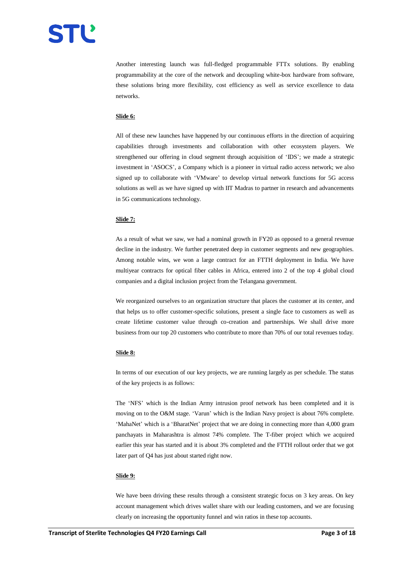Another interesting launch was full-fledged programmable FTTx solutions. By enabling programmability at the core of the network and decoupling white-box hardware from software, these solutions bring more flexibility, cost efficiency as well as service excellence to data networks.

## **Slide 6:**

All of these new launches have happened by our continuous efforts in the direction of acquiring capabilities through investments and collaboration with other ecosystem players. We strengthened our offering in cloud segment through acquisition of 'IDS'; we made a strategic investment in 'ASOCS', a Company which is a pioneer in virtual radio access network; we also signed up to collaborate with 'VMware' to develop virtual network functions for 5G access solutions as well as we have signed up with IIT Madras to partner in research and advancements in 5G communications technology.

## **Slide 7:**

As a result of what we saw, we had a nominal growth in FY20 as opposed to a general revenue decline in the industry. We further penetrated deep in customer segments and new geographies. Among notable wins, we won a large contract for an FTTH deployment in India. We have multiyear contracts for optical fiber cables in Africa, entered into 2 of the top 4 global cloud companies and a digital inclusion project from the Telangana government.

We reorganized ourselves to an organization structure that places the customer at its center, and that helps us to offer customer-specific solutions, present a single face to customers as well as create lifetime customer value through co-creation and partnerships. We shall drive more business from our top 20 customers who contribute to more than 70% of our total revenues today.

#### **Slide 8:**

In terms of our execution of our key projects, we are running largely as per schedule. The status of the key projects is as follows:

The 'NFS' which is the Indian Army intrusion proof network has been completed and it is moving on to the O&M stage. 'Varun' which is the Indian Navy project is about 76% complete. 'MahaNet' which is a 'BharatNet' project that we are doing in connecting more than 4,000 gram panchayats in Maharashtra is almost 74% complete. The T-fiber project which we acquired earlier this year has started and it is about 3% completed and the FTTH rollout order that we got later part of Q4 has just about started right now.

#### **Slide 9:**

We have been driving these results through a consistent strategic focus on 3 key areas. On key account management which drives wallet share with our leading customers, and we are focusing clearly on increasing the opportunity funnel and win ratios in these top accounts.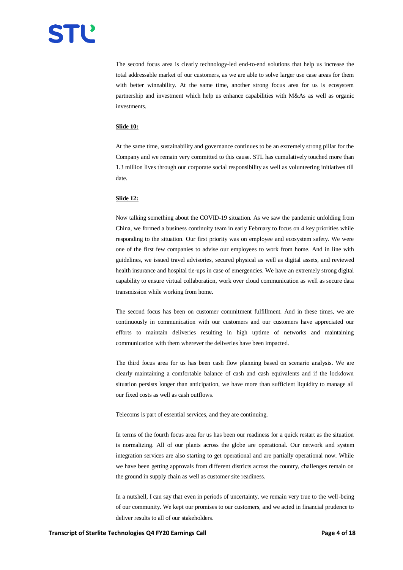

The second focus area is clearly technology-led end-to-end solutions that help us increase the total addressable market of our customers, as we are able to solve larger use case areas for them with better winnability. At the same time, another strong focus area for us is ecosystem partnership and investment which help us enhance capabilities with M&As as well as organic investments.

#### **Slide 10:**

At the same time, sustainability and governance continues to be an extremely strong pillar for the Company and we remain very committed to this cause. STL has cumulatively touched more than 1.3 million lives through our corporate social responsibility as well as volunteering initiatives till date.

#### **Slide 12:**

Now talking something about the COVID-19 situation. As we saw the pandemic unfolding from China, we formed a business continuity team in early February to focus on 4 key priorities while responding to the situation. Our first priority was on employee and ecosystem safety. We were one of the first few companies to advise our employees to work from home. And in line with guidelines, we issued travel advisories, secured physical as well as digital assets, and reviewed health insurance and hospital tie-ups in case of emergencies. We have an extremely strong digital capability to ensure virtual collaboration, work over cloud communication as well as secure data transmission while working from home.

The second focus has been on customer commitment fulfillment. And in these times, we are continuously in communication with our customers and our customers have appreciated our efforts to maintain deliveries resulting in high uptime of networks and maintaining communication with them wherever the deliveries have been impacted.

The third focus area for us has been cash flow planning based on scenario analysis. We are clearly maintaining a comfortable balance of cash and cash equivalents and if the lockdown situation persists longer than anticipation, we have more than sufficient liquidity to manage all our fixed costs as well as cash outflows.

Telecoms is part of essential services, and they are continuing.

In terms of the fourth focus area for us has been our readiness for a quick restart as the situation is normalizing. All of our plants across the globe are operational. Our network and system integration services are also starting to get operational and are partially operational now. While we have been getting approvals from different districts across the country, challenges remain on the ground in supply chain as well as customer site readiness.

In a nutshell, I can say that even in periods of uncertainty, we remain very true to the well-being of our community. We kept our promises to our customers, and we acted in financial prudence to deliver results to all of our stakeholders.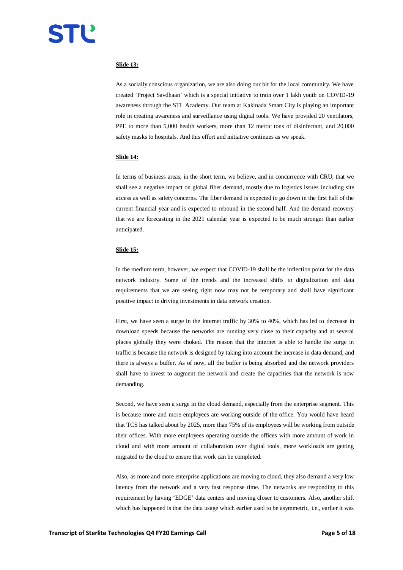## **Slide 13:**

As a socially conscious organization, we are also doing our bit for the local community. We have created 'Project Savdhaan' which is a special initiative to train over 1 lakh youth on COVID-19 awareness through the STL Academy. Our team at Kakinada Smart City is playing an important role in creating awareness and surveillance using digital tools. We have provided 20 ventilators, PPE to more than 5,000 health workers, more than 12 metric tons of disinfectant, and 20,000 safety masks to hospitals. And this effort and initiative continues as we speak.

#### **Slide 14:**

In terms of business areas, in the short term, we believe, and in concurrence with CRU, that we shall see a negative impact on global fiber demand, mostly due to logistics issues including site access as well as safety concerns. The fiber demand is expected to go down in the first half of the current financial year and is expected to rebound in the second half. And the demand recovery that we are forecasting in the 2021 calendar year is expected to be much stronger than earlier anticipated.

## **Slide 15:**

In the medium term, however, we expect that COVID-19 shall be the inflection point for the data network industry. Some of the trends and the increased shifts to digitalization and data requirements that we are seeing right now may not be temporary and shall have significant positive impact in driving investments in data network creation.

First, we have seen a surge in the Internet traffic by 30% to 40%, which has led to decrease in download speeds because the networks are running very close to their capacity and at several places globally they were choked. The reason that the Internet is able to handle the surge in traffic is because the network is designed by taking into account the increase in data demand, and there is always a buffer. As of now, all the buffer is being absorbed and the network providers shall have to invest to augment the network and create the capacities that the network is now demanding.

Second, we have seen a surge in the cloud demand, especially from the enterprise segment. This is because more and more employees are working outside of the office. You would have heard that TCS has talked about by 2025, more than 75% of its employees will be working from outside their offices. With more employees operating outside the offices with more amount of work in cloud and with more amount of collaboration over digital tools, more workloads are getting migrated to the cloud to ensure that work can be completed.

Also, as more and more enterprise applications are moving to cloud, they also demand a very low latency from the network and a very fast response time. The networks are responding to this requirement by having 'EDGE' data centers and moving closer to customers. Also, another shift which has happened is that the data usage which earlier used to be asymmetric, i.e., earlier it was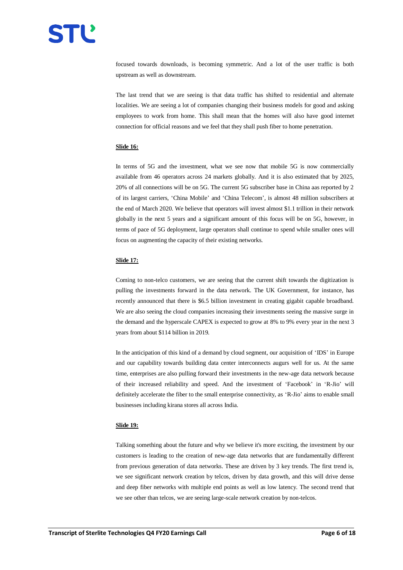focused towards downloads, is becoming symmetric. And a lot of the user traffic is both upstream as well as downstream.

The last trend that we are seeing is that data traffic has shifted to residential and alternate localities. We are seeing a lot of companies changing their business models for good and asking employees to work from home. This shall mean that the homes will also have good internet connection for official reasons and we feel that they shall push fiber to home penetration.

## **Slide 16:**

In terms of 5G and the investment, what we see now that mobile 5G is now commercially available from 46 operators across 24 markets globally. And it is also estimated that by 2025, 20% of all connections will be on 5G. The current 5G subscriber base in China aas reported by 2 of its largest carriers, 'China Mobile' and 'China Telecom', is almost 48 million subscribers at the end of March 2020. We believe that operators will invest almost \$1.1 trillion in their network globally in the next 5 years and a significant amount of this focus will be on 5G, however, in terms of pace of 5G deployment, large operators shall continue to spend while smaller ones will focus on augmenting the capacity of their existing networks.

#### **Slide 17:**

Coming to non-telco customers, we are seeing that the current shift towards the digitization is pulling the investments forward in the data network. The UK Government, for instance, has recently announced that there is \$6.5 billion investment in creating gigabit capable broadband. We are also seeing the cloud companies increasing their investments seeing the massive surge in the demand and the hyperscale CAPEX is expected to grow at 8% to 9% every year in the next 3 years from about \$114 billion in 2019.

In the anticipation of this kind of a demand by cloud segment, our acquisition of 'IDS' in Europe and our capability towards building data center interconnects augurs well for us. At the same time, enterprises are also pulling forward their investments in the new-age data network because of their increased reliability and speed. And the investment of 'Facebook' in 'R-Jio' will definitely accelerate the fiber to the small enterprise connectivity, as 'R-Jio' aims to enable small businesses including kirana stores all across India.

### **Slide 19:**

Talking something about the future and why we believe it's more exciting, the investment by our customers is leading to the creation of new-age data networks that are fundamentally different from previous generation of data networks. These are driven by 3 key trends. The first trend is, we see significant network creation by telcos, driven by data growth, and this will drive dense and deep fiber networks with multiple end points as well as low latency. The second trend that we see other than telcos, we are seeing large-scale network creation by non-telcos.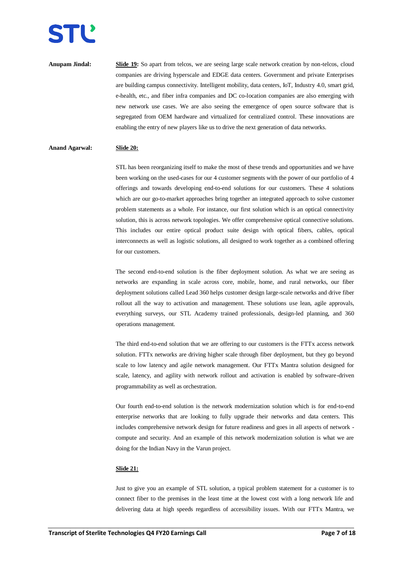**Anupam Jindal: Slide 19:** So apart from telcos, we are seeing large scale network creation by non-telcos, cloud companies are driving hyperscale and EDGE data centers. Government and private Enterprises are building campus connectivity. Intelligent mobility, data centers, IoT, Industry 4.0, smart grid, e-health, etc., and fiber infra companies and DC co-location companies are also emerging with new network use cases. We are also seeing the emergence of open source software that is segregated from OEM hardware and virtualized for centralized control. These innovations are enabling the entry of new players like us to drive the next generation of data networks.

## **Anand Agarwal: Slide 20:**

STL has been reorganizing itself to make the most of these trends and opportunities and we have been working on the used-cases for our 4 customer segments with the power of our portfolio of 4 offerings and towards developing end-to-end solutions for our customers. These 4 solutions which are our go-to-market approaches bring together an integrated approach to solve customer problem statements as a whole. For instance, our first solution which is an optical connectivity solution, this is across network topologies. We offer comprehensive optical connective solutions. This includes our entire optical product suite design with optical fibers, cables, optical interconnects as well as logistic solutions, all designed to work together as a combined offering for our customers.

The second end-to-end solution is the fiber deployment solution. As what we are seeing as networks are expanding in scale across core, mobile, home, and rural networks, our fiber deployment solutions called Lead 360 helps customer design large-scale networks and drive fiber rollout all the way to activation and management. These solutions use lean, agile approvals, everything surveys, our STL Academy trained professionals, design-led planning, and 360 operations management.

The third end-to-end solution that we are offering to our customers is the FTTx access network solution. FTTx networks are driving higher scale through fiber deployment, but they go beyond scale to low latency and agile network management. Our FTTx Mantra solution designed for scale, latency, and agility with network rollout and activation is enabled by software-driven programmability as well as orchestration.

Our fourth end-to-end solution is the network modernization solution which is for end-to-end enterprise networks that are looking to fully upgrade their networks and data centers. This includes comprehensive network design for future readiness and goes in all aspects of network compute and security. And an example of this network modernization solution is what we are doing for the Indian Navy in the Varun project.

#### **Slide 21:**

Just to give you an example of STL solution, a typical problem statement for a customer is to connect fiber to the premises in the least time at the lowest cost with a long network life and delivering data at high speeds regardless of accessibility issues. With our FTTx Mantra, we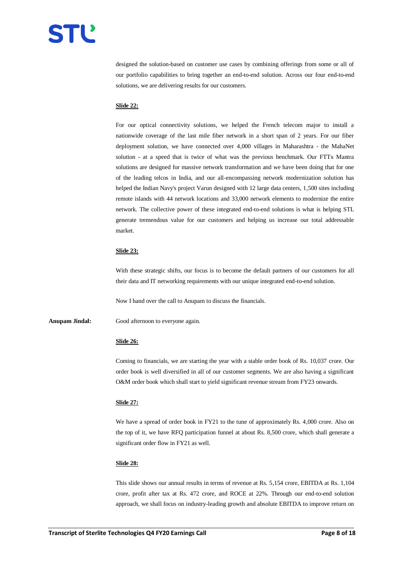

designed the solution-based on customer use cases by combining offerings from some or all of our portfolio capabilities to bring together an end-to-end solution. Across our four end-to-end solutions, we are delivering results for our customers.

#### **Slide 22:**

For our optical connectivity solutions, we helped the French telecom major to install a nationwide coverage of the last mile fiber network in a short span of 2 years. For our fiber deployment solution, we have connected over 4,000 villages in Maharashtra - the MahaNet solution - at a speed that is twice of what was the previous benchmark. Our FTTx Mantra solutions are designed for massive network transformation and we have been doing that for one of the leading telcos in India, and our all-encompassing network modernization solution has helped the Indian Navy's project Varun designed with 12 large data centers, 1,500 sites including remote islands with 44 network locations and 33,000 network elements to modernize the entire network. The collective power of these integrated end-to-end solutions is what is helping STL generate tremendous value for our customers and helping us increase our total addressable market.

#### **Slide 23:**

With these strategic shifts, our focus is to become the default partners of our customers for all their data and IT networking requirements with our unique integrated end-to-end solution.

Now I hand over the call to Anupam to discuss the financials.

**Anupam Jindal:** Good afternoon to everyone again.

#### **Slide 26:**

Coming to financials, we are starting the year with a stable order book of Rs. 10,037 crore. Our order book is well diversified in all of our customer segments. We are also having a significant O&M order book which shall start to yield significant revenue stream from FY23 onwards.

#### **Slide 27:**

We have a spread of order book in FY21 to the tune of approximately Rs. 4,000 crore. Also on the top of it, we have RFQ participation funnel at about Rs. 8,500 crore, which shall generate a significant order flow in FY21 as well.

## **Slide 28:**

This slide shows our annual results in terms of revenue at Rs. 5,154 crore, EBITDA at Rs. 1,104 crore, profit after tax at Rs. 472 crore, and ROCE at 22%. Through our end-to-end solution approach, we shall focus on industry-leading growth and absolute EBITDA to improve return on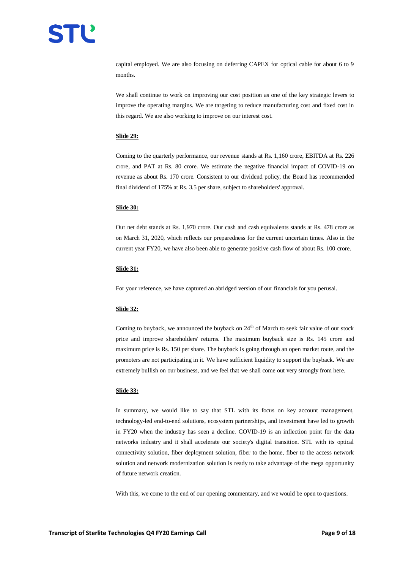capital employed. We are also focusing on deferring CAPEX for optical cable for about 6 to 9 months.

We shall continue to work on improving our cost position as one of the key strategic levers to improve the operating margins. We are targeting to reduce manufacturing cost and fixed cost in this regard. We are also working to improve on our interest cost.

#### **Slide 29:**

Coming to the quarterly performance, our revenue stands at Rs. 1,160 crore, EBITDA at Rs. 226 crore, and PAT at Rs. 80 crore. We estimate the negative financial impact of COVID-19 on revenue as about Rs. 170 crore. Consistent to our dividend policy, the Board has recommended final dividend of 175% at Rs. 3.5 per share, subject to shareholders' approval.

#### **Slide 30:**

Our net debt stands at Rs. 1,970 crore. Our cash and cash equivalents stands at Rs. 478 crore as on March 31, 2020, which reflects our preparedness for the current uncertain times. Also in the current year FY20, we have also been able to generate positive cash flow of about Rs. 100 crore.

## **Slide 31:**

For your reference, we have captured an abridged version of our financials for you perusal.

## **Slide 32:**

Coming to buyback, we announced the buyback on  $24<sup>th</sup>$  of March to seek fair value of our stock price and improve shareholders' returns. The maximum buyback size is Rs. 145 crore and maximum price is Rs. 150 per share. The buyback is going through an open market route, and the promoters are not participating in it. We have sufficient liquidity to support the buyback. We are extremely bullish on our business, and we feel that we shall come out very strongly from here.

#### **Slide 33:**

In summary, we would like to say that STL with its focus on key account management, technology-led end-to-end solutions, ecosystem partnerships, and investment have led to growth in FY20 when the industry has seen a decline. COVID-19 is an inflection point for the data networks industry and it shall accelerate our society's digital transition. STL with its optical connectivity solution, fiber deployment solution, fiber to the home, fiber to the access network solution and network modernization solution is ready to take advantage of the mega opportunity of future network creation.

With this, we come to the end of our opening commentary, and we would be open to questions.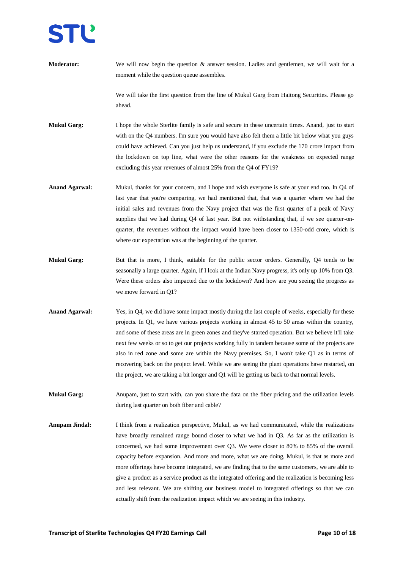**Moderator:** We will now begin the question & answer session. Ladies and gentlemen, we will wait for a moment while the question queue assembles.

> We will take the first question from the line of Mukul Garg from Haitong Securities. Please go ahead.

**Mukul Garg:** I hope the whole Sterlite family is safe and secure in these uncertain times. Anand, just to start with on the Q4 numbers. I'm sure you would have also felt them a little bit below what you guys could have achieved. Can you just help us understand, if you exclude the 170 crore impact from the lockdown on top line, what were the other reasons for the weakness on expected range excluding this year revenues of almost 25% from the Q4 of FY19?

- **Anand Agarwal:** Mukul, thanks for your concern, and I hope and wish everyone is safe at your end too. In Q4 of last year that you're comparing, we had mentioned that, that was a quarter where we had the initial sales and revenues from the Navy project that was the first quarter of a peak of Navy supplies that we had during Q4 of last year. But not withstanding that, if we see quarter-onquarter, the revenues without the impact would have been closer to 1350-odd crore, which is where our expectation was at the beginning of the quarter.
- **Mukul Garg:** But that is more, I think, suitable for the public sector orders. Generally, Q4 tends to be seasonally a large quarter. Again, if I look at the Indian Navy progress, it's only up 10% from Q3. Were these orders also impacted due to the lockdown? And how are you seeing the progress as we move forward in Q1?
- **Anand Agarwal:** Yes, in Q4, we did have some impact mostly during the last couple of weeks, especially for these projects. In Q1, we have various projects working in almost 45 to 50 areas within the country, and some of these areas are in green zones and they've started operation. But we believe it'll take next few weeks or so to get our projects working fully in tandem because some of the projects are also in red zone and some are within the Navy premises. So, I won't take Q1 as in terms of recovering back on the project level. While we are seeing the plant operations have restarted, on the project, we are taking a bit longer and Q1 will be getting us back to that normal levels.
- **Mukul Garg:** Anupam, just to start with, can you share the data on the fiber pricing and the utilization levels during last quarter on both fiber and cable?
- **Anupam Jindal:** I think from a realization perspective, Mukul, as we had communicated, while the realizations have broadly remained range bound closer to what we had in Q3. As far as the utilization is concerned, we had some improvement over Q3. We were closer to 80% to 85% of the overall capacity before expansion. And more and more, what we are doing, Mukul, is that as more and more offerings have become integrated, we are finding that to the same customers, we are able to give a product as a service product as the integrated offering and the realization is becoming less and less relevant. We are shifting our business model to integrated offerings so that we can actually shift from the realization impact which we are seeing in this industry.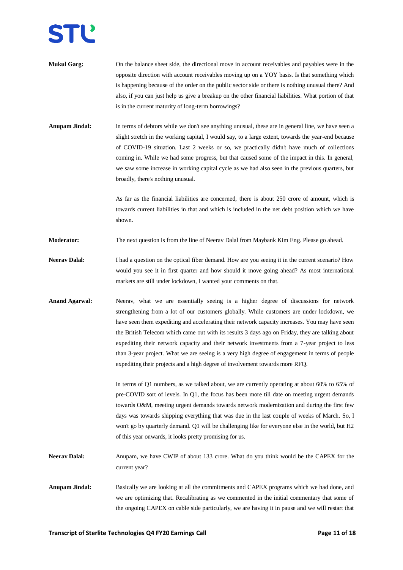- **Mukul Garg:** On the balance sheet side, the directional move in account receivables and payables were in the opposite direction with account receivables moving up on a YOY basis. Is that something which is happening because of the order on the public sector side or there is nothing unusual there? And also, if you can just help us give a breakup on the other financial liabilities. What portion of that is in the current maturity of long-term borrowings?
- **Anupam Jindal:** In terms of debtors while we don't see anything unusual, these are in general line, we have seen a slight stretch in the working capital, I would say, to a large extent, towards the year-end because of COVID-19 situation. Last 2 weeks or so, we practically didn't have much of collections coming in. While we had some progress, but that caused some of the impact in this. In general, we saw some increase in working capital cycle as we had also seen in the previous quarters, but broadly, there's nothing unusual.

As far as the financial liabilities are concerned, there is about 250 crore of amount, which is towards current liabilities in that and which is included in the net debt position which we have shown.

**Moderator:** The next question is from the line of Neerav Dalal from Maybank Kim Eng. Please go ahead.

- **Neerav Dalal:** I had a question on the optical fiber demand. How are you seeing it in the current scenario? How would you see it in first quarter and how should it move going ahead? As most international markets are still under lockdown, I wanted your comments on that.
- **Anand Agarwal:** Neerav, what we are essentially seeing is a higher degree of discussions for network strengthening from a lot of our customers globally. While customers are under lockdown, we have seen them expediting and accelerating their network capacity increases. You may have seen the British Telecom which came out with its results 3 days ago on Friday, they are talking about expediting their network capacity and their network investments from a 7-year project to less than 3-year project. What we are seeing is a very high degree of engagement in terms of people expediting their projects and a high degree of involvement towards more RFQ.

In terms of Q1 numbers, as we talked about, we are currently operating at about 60% to 65% of pre-COVID sort of levels. In Q1, the focus has been more till date on meeting urgent demands towards O&M, meeting urgent demands towards network modernization and during the first few days was towards shipping everything that was due in the last couple of weeks of March. So, I won't go by quarterly demand. Q1 will be challenging like for everyone else in the world, but H2 of this year onwards, it looks pretty promising for us.

- Neerav Dalal: Anupam, we have CWIP of about 133 crore. What do you think would be the CAPEX for the current year?
- **Anupam Jindal:** Basically we are looking at all the commitments and CAPEX programs which we had done, and we are optimizing that. Recalibrating as we commented in the initial commentary that some of the ongoing CAPEX on cable side particularly, we are having it in pause and we will restart that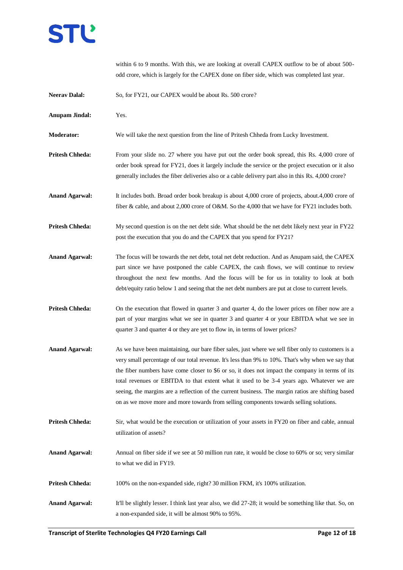

within 6 to 9 months. With this, we are looking at overall CAPEX outflow to be of about 500 odd crore, which is largely for the CAPEX done on fiber side, which was completed last year. **Neerav Dalal:** So, for FY21, our CAPEX would be about Rs. 500 crore? **Anupam Jindal:** Yes. **Moderator:** We will take the next question from the line of Pritesh Chheda from Lucky Investment. **Pritesh Chheda:** From your slide no. 27 where you have put out the order book spread, this Rs. 4,000 crore of order book spread for FY21, does it largely include the service or the project execution or it also generally includes the fiber deliveries also or a cable delivery part also in this Rs. 4,000 crore? Anand Agarwal: It includes both. Broad order book breakup is about 4,000 crore of projects, about.4,000 crore of fiber & cable, and about 2,000 crore of O&M. So the 4,000 that we have for FY21 includes both. **Pritesh Chheda:** My second question is on the net debt side. What should be the net debt likely next year in FY22 post the execution that you do and the CAPEX that you spend for FY21? **Anand Agarwal:** The focus will be towards the net debt, total net debt reduction. And as Anupam said, the CAPEX part since we have postponed the cable CAPEX, the cash flows, we will continue to review throughout the next few months. And the focus will be for us in totality to look at both debt/equity ratio below 1 and seeing that the net debt numbers are put at close to current levels. **Pritesh Chheda:** On the execution that flowed in quarter 3 and quarter 4, do the lower prices on fiber now are a part of your margins what we see in quarter 3 and quarter 4 or your EBITDA what we see in quarter 3 and quarter 4 or they are yet to flow in, in terms of lower prices? **Anand Agarwal:** As we have been maintaining, our bare fiber sales, just where we sell fiber only to customers is a very small percentage of our total revenue. It's less than 9% to 10%. That's why when we say that the fiber numbers have come closer to \$6 or so, it does not impact the company in terms of its total revenues or EBITDA to that extent what it used to be 3-4 years ago. Whatever we are seeing, the margins are a reflection of the current business. The margin ratios are shifting based on as we move more and more towards from selling components towards selling solutions. **Pritesh Chheda:** Sir, what would be the execution or utilization of your assets in FY20 on fiber and cable, annual utilization of assets? **Anand Agarwal:** Annual on fiber side if we see at 50 million run rate, it would be close to 60% or so; very similar to what we did in FY19. **Pritesh Chheda:** 100% on the non-expanded side, right? 30 million FKM, it's 100% utilization. **Anand Agarwal:** It'll be slightly lesser. I think last year also, we did 27-28; it would be something like that. So, on a non-expanded side, it will be almost 90% to 95%.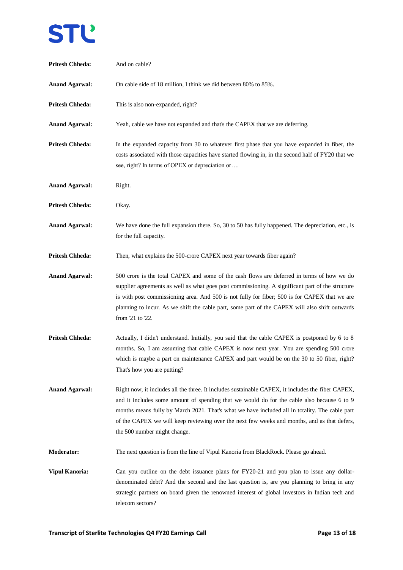# STĽ

| <b>Pritesh Chheda:</b> | And on cable?                                                                                                                                                                                                                                                                                                                                                                                                                    |
|------------------------|----------------------------------------------------------------------------------------------------------------------------------------------------------------------------------------------------------------------------------------------------------------------------------------------------------------------------------------------------------------------------------------------------------------------------------|
| <b>Anand Agarwal:</b>  | On cable side of 18 million, I think we did between 80% to 85%.                                                                                                                                                                                                                                                                                                                                                                  |
| <b>Pritesh Chheda:</b> | This is also non-expanded, right?                                                                                                                                                                                                                                                                                                                                                                                                |
| <b>Anand Agarwal:</b>  | Yeah, cable we have not expanded and that's the CAPEX that we are deferring.                                                                                                                                                                                                                                                                                                                                                     |
| <b>Pritesh Chheda:</b> | In the expanded capacity from 30 to whatever first phase that you have expanded in fiber, the<br>costs associated with those capacities have started flowing in, in the second half of FY20 that we<br>see, right? In terms of OPEX or depreciation or                                                                                                                                                                           |
| <b>Anand Agarwal:</b>  | Right.                                                                                                                                                                                                                                                                                                                                                                                                                           |
| <b>Pritesh Chheda:</b> | Okay.                                                                                                                                                                                                                                                                                                                                                                                                                            |
| <b>Anand Agarwal:</b>  | We have done the full expansion there. So, 30 to 50 has fully happened. The depreciation, etc., is<br>for the full capacity.                                                                                                                                                                                                                                                                                                     |
| <b>Pritesh Chheda:</b> | Then, what explains the 500-crore CAPEX next year towards fiber again?                                                                                                                                                                                                                                                                                                                                                           |
| <b>Anand Agarwal:</b>  | 500 crore is the total CAPEX and some of the cash flows are deferred in terms of how we do<br>supplier agreements as well as what goes post commissioning. A significant part of the structure<br>is with post commissioning area. And 500 is not fully for fiber; 500 is for CAPEX that we are<br>planning to incur. As we shift the cable part, some part of the CAPEX will also shift outwards<br>from '21 to '22.            |
| <b>Pritesh Chheda:</b> | Actually, I didn't understand. Initially, you said that the cable CAPEX is postponed by 6 to 8<br>months. So, I am assuming that cable CAPEX is now next year. You are spending 500 crore<br>which is maybe a part on maintenance CAPEX and part would be on the 30 to 50 fiber, right?<br>That's how you are putting?                                                                                                           |
| <b>Anand Agarwal:</b>  | Right now, it includes all the three. It includes sustainable CAPEX, it includes the fiber CAPEX,<br>and it includes some amount of spending that we would do for the cable also because 6 to 9<br>months means fully by March 2021. That's what we have included all in totality. The cable part<br>of the CAPEX we will keep reviewing over the next few weeks and months, and as that defers,<br>the 500 number might change. |
| <b>Moderator:</b>      | The next question is from the line of Vipul Kanoria from BlackRock. Please go ahead.                                                                                                                                                                                                                                                                                                                                             |
| <b>Vipul Kanoria:</b>  | Can you outline on the debt issuance plans for FY20-21 and you plan to issue any dollar-<br>denominated debt? And the second and the last question is, are you planning to bring in any<br>strategic partners on board given the renowned interest of global investors in Indian tech and<br>telecom sectors?                                                                                                                    |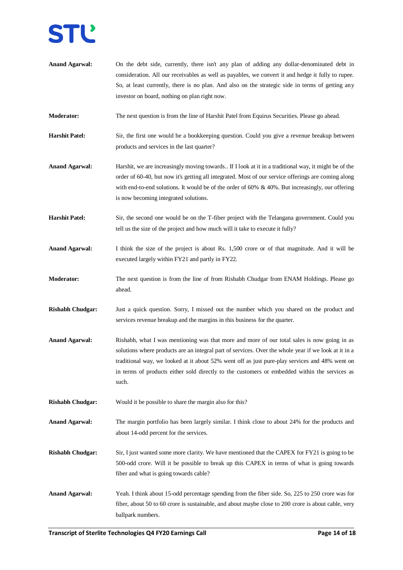- **Anand Agarwal:** On the debt side, currently, there isn't any plan of adding any dollar-denominated debt in consideration. All our receivables as well as payables, we convert it and hedge it fully to rupee. So, at least currently, there is no plan. And also on the strategic side in terms of getting any investor on board, nothing on plan right now.
- **Moderator:** The next question is from the line of Harshit Patel from Equirus Securities. Please go ahead.
- **Harshit Patel:** Sir, the first one would be a bookkeeping question. Could you give a revenue breakup between products and services in the last quarter?
- Anand Agarwal: Harshit, we are increasingly moving towards.. If I look at it in a traditional way, it might be of the order of 60-40, but now it's getting all integrated. Most of our service offerings are coming along with end-to-end solutions. It would be of the order of 60% & 40%. But increasingly, our offering is now becoming integrated solutions.
- **Harshit Patel:** Sir, the second one would be on the T-fiber project with the Telangana government. Could you tell us the size of the project and how much will it take to execute it fully?
- **Anand Agarwal:** I think the size of the project is about Rs. 1,500 crore or of that magnitude. And it will be executed largely within FY21 and partly in FY22.
- **Moderator:** The next question is from the line of from Rishabh Chudgar from ENAM Holdings. Please go ahead.
- **Rishabh Chudgar:** Just a quick question. Sorry, I missed out the number which you shared on the product and services revenue breakup and the margins in this business for the quarter.
- **Anand Agarwal:** Rishabh, what I was mentioning was that more and more of our total sales is now going in as solutions where products are an integral part of services. Over the whole year if we look at it in a traditional way, we looked at it about 52% went off as just pure-play services and 48% went on in terms of products either sold directly to the customers or embedded within the services as such.
- **Rishabh Chudgar:** Would it be possible to share the margin also for this?
- **Anand Agarwal:** The margin portfolio has been largely similar. I think close to about 24% for the products and about 14-odd percent for the services.
- **Rishabh Chudgar:** Sir, I just wanted some more clarity. We have mentioned that the CAPEX for FY21 is going to be 500-odd crore. Will it be possible to break up this CAPEX in terms of what is going towards fiber and what is going towards cable?
- **Anand Agarwal:** Yeah. I think about 15-odd percentage spending from the fiber side. So, 225 to 250 crore was for fiber, about 50 to 60 crore is sustainable, and about maybe close to 200 crore is about cable, very ballpark numbers.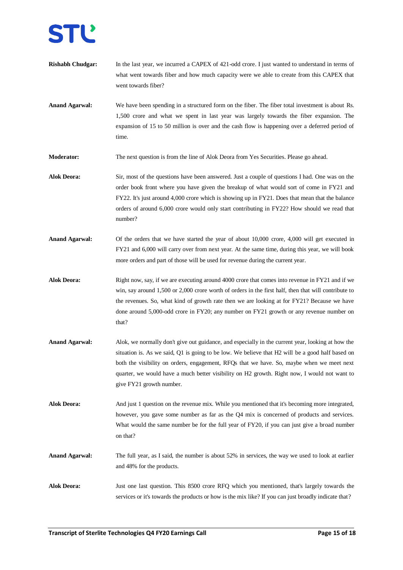- **Rishabh Chudgar:** In the last year, we incurred a CAPEX of 421-odd crore. I just wanted to understand in terms of what went towards fiber and how much capacity were we able to create from this CAPEX that went towards fiber?
- **Anand Agarwal:** We have been spending in a structured form on the fiber. The fiber total investment is about Rs. 1,500 crore and what we spent in last year was largely towards the fiber expansion. The expansion of 15 to 50 million is over and the cash flow is happening over a deferred period of time.

**Moderator:** The next question is from the line of Alok Deora from Yes Securities. Please go ahead.

- **Alok Deora:** Sir, most of the questions have been answered. Just a couple of questions I had. One was on the order book front where you have given the breakup of what would sort of come in FY21 and FY22. It's just around 4,000 crore which is showing up in FY21. Does that mean that the balance orders of around 6,000 crore would only start contributing in FY22? How should we read that number?
- **Anand Agarwal:** Of the orders that we have started the year of about 10,000 crore, 4,000 will get executed in FY21 and 6,000 will carry over from next year. At the same time, during this year, we will book more orders and part of those will be used for revenue during the current year.
- **Alok Deora:** Right now, say, if we are executing around 4000 crore that comes into revenue in FY21 and if we win, say around 1,500 or 2,000 crore worth of orders in the first half, then that will contribute to the revenues. So, what kind of growth rate then we are looking at for FY21? Because we have done around 5,000-odd crore in FY20; any number on FY21 growth or any revenue number on that?
- **Anand Agarwal:** Alok, we normally don't give out guidance, and especially in the current year, looking at how the situation is. As we said, Q1 is going to be low. We believe that H2 will be a good half based on both the visibility on orders, engagement, RFQs that we have. So, maybe when we meet next quarter, we would have a much better visibility on H2 growth. Right now, I would not want to give FY21 growth number.
- **Alok Deora:** And just 1 question on the revenue mix. While you mentioned that it's becoming more integrated, however, you gave some number as far as the Q4 mix is concerned of products and services. What would the same number be for the full year of FY20, if you can just give a broad number on that?
- **Anand Agarwal:** The full year, as I said, the number is about 52% in services, the way we used to look at earlier and 48% for the products.
- **Alok Deora:** Just one last question. This 8500 crore RFQ which you mentioned, that's largely towards the services or it's towards the products or how is the mix like? If you can just broadly indicate that?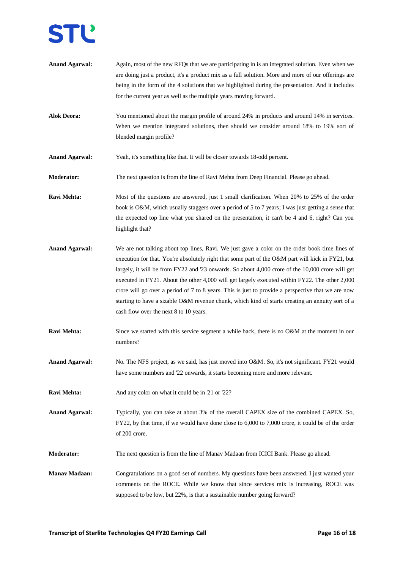- **Anand Agarwal:** Again, most of the new RFQs that we are participating in is an integrated solution. Even when we are doing just a product, it's a product mix as a full solution. More and more of our offerings are being in the form of the 4 solutions that we highlighted during the presentation. And it includes for the current year as well as the multiple years moving forward.
- **Alok Deora:** You mentioned about the margin profile of around 24% in products and around 14% in services. When we mention integrated solutions, then should we consider around 18% to 19% sort of blended margin profile?
- **Anand Agarwal:** Yeah, it's something like that. It will be closer towards 18-odd percent.
- **Moderator:** The next question is from the line of Ravi Mehta from Deep Financial. Please go ahead.
- **Ravi Mehta:** Most of the questions are answered, just 1 small clarification. When 20% to 25% of the order book is O&M, which usually staggers over a period of 5 to 7 years; I was just getting a sense that the expected top line what you shared on the presentation, it can't be 4 and 6, right? Can you highlight that?
- **Anand Agarwal:** We are not talking about top lines, Ravi. We just gave a color on the order book time lines of execution for that. You're absolutely right that some part of the O&M part will kick in FY21, but largely, it will be from FY22 and '23 onwards. So about 4,000 crore of the 10,000 crore will get executed in FY21. About the other 4,000 will get largely executed within FY22. The other 2,000 crore will go over a period of 7 to 8 years. This is just to provide a perspective that we are now starting to have a sizable O&M revenue chunk, which kind of starts creating an annuity sort of a cash flow over the next 8 to 10 years.
- **Ravi Mehta:** Since we started with this service segment a while back, there is no O&M at the moment in our numbers?
- **Anand Agarwal:** No. The NFS project, as we said, has just moved into O&M. So, it's not significant. FY21 would have some numbers and '22 onwards, it starts becoming more and more relevant.
- **Ravi Mehta:** And any color on what it could be in '21 or '22?

**Anand Agarwal:** Typically, you can take at about 3% of the overall CAPEX size of the combined CAPEX. So, FY22, by that time, if we would have done close to 6,000 to 7,000 crore, it could be of the order of 200 crore.

- **Moderator:** The next question is from the line of Manav Madaan from ICICI Bank. Please go ahead.
- **Manav Madaan:** Congratulations on a good set of numbers. My questions have been answered. I just wanted your comments on the ROCE. While we know that since services mix is increasing, ROCE was supposed to be low, but 22%, is that a sustainable number going forward?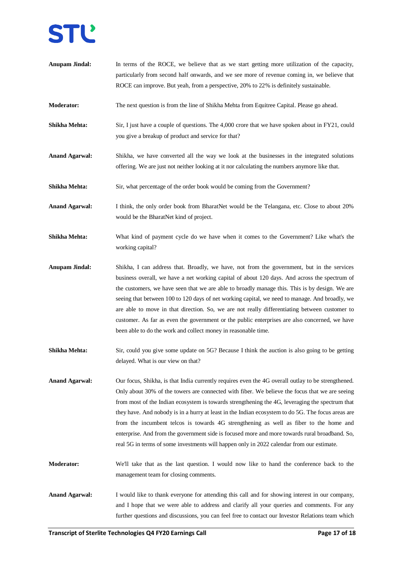- **Anupam Jindal:** In terms of the ROCE, we believe that as we start getting more utilization of the capacity, particularly from second half onwards, and we see more of revenue coming in, we believe that ROCE can improve. But yeah, from a perspective, 20% to 22% is definitely sustainable.
- **Moderator:** The next question is from the line of Shikha Mehta from Equitree Capital. Please go ahead.
- **Shikha Mehta:** Sir, I just have a couple of questions. The 4,000 crore that we have spoken about in FY21, could you give a breakup of product and service for that?
- **Anand Agarwal:** Shikha, we have converted all the way we look at the businesses in the integrated solutions offering. We are just not neither looking at it nor calculating the numbers anymore like that.
- **Shikha Mehta:** Sir, what percentage of the order book would be coming from the Government?
- Anand Agarwal: I think, the only order book from BharatNet would be the Telangana, etc. Close to about 20% would be the BharatNet kind of project.
- **Shikha Mehta:** What kind of payment cycle do we have when it comes to the Government? Like what's the working capital?
- **Anupam Jindal:** Shikha, I can address that. Broadly, we have, not from the government, but in the services business overall, we have a net working capital of about 120 days. And across the spectrum of the customers, we have seen that we are able to broadly manage this. This is by design. We are seeing that between 100 to 120 days of net working capital, we need to manage. And broadly, we are able to move in that direction. So, we are not really differentiating between customer to customer. As far as even the government or the public enterprises are also concerned, we have been able to do the work and collect money in reasonable time.
- **Shikha Mehta:** Sir, could you give some update on 5G? Because I think the auction is also going to be getting delayed. What is our view on that?
- **Anand Agarwal:** Our focus, Shikha, is that India currently requires even the 4G overall outlay to be strengthened. Only about 30% of the towers are connected with fiber. We believe the focus that we are seeing from most of the Indian ecosystem is towards strengthening the 4G, leveraging the spectrum that they have. And nobody is in a hurry at least in the Indian ecosystem to do 5G. The focus areas are from the incumbent telcos is towards 4G strengthening as well as fiber to the home and enterprise. And from the government side is focused more and more towards rural broadband. So, real 5G in terms of some investments will happen only in 2022 calendar from our estimate.
- **Moderator:** We'll take that as the last question. I would now like to hand the conference back to the management team for closing comments.
- **Anand Agarwal:** I would like to thank everyone for attending this call and for showing interest in our company, and I hope that we were able to address and clarify all your queries and comments. For any further questions and discussions, you can feel free to contact our Investor Relations team which